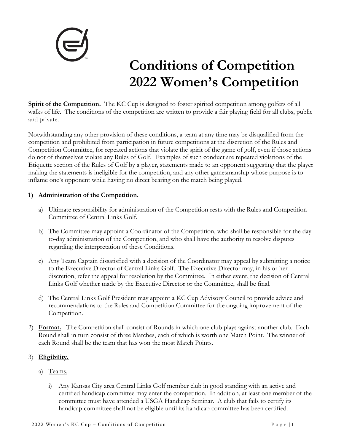

# **Conditions of Competition 2022 Women's Competition**

**Spirit of the Competition.** The KC Cup is designed to foster spirited competition among golfers of all walks of life. The conditions of the competition are written to provide a fair playing field for all clubs, public and private.

Notwithstanding any other provision of these conditions, a team at any time may be disqualified from the competition and prohibited from participation in future competitions at the discretion of the Rules and Competition Committee, for repeated actions that violate the spirit of the game of golf, even if those actions do not of themselves violate any Rules of Golf. Examples of such conduct are repeated violations of the Etiquette section of the Rules of Golf by a player, statements made to an opponent suggesting that the player making the statements is ineligible for the competition, and any other gamesmanship whose purpose is to inflame one's opponent while having no direct bearing on the match being played.

## **1) Administration of the Competition.**

- a) Ultimate responsibility for administration of the Competition rests with the Rules and Competition Committee of Central Links Golf.
- b) The Committee may appoint a Coordinator of the Competition, who shall be responsible for the dayto-day administration of the Competition, and who shall have the authority to resolve disputes regarding the interpretation of these Conditions.
- c) Any Team Captain dissatisfied with a decision of the Coordinator may appeal by submitting a notice to the Executive Director of Central Links Golf. The Executive Director may, in his or her discretion, refer the appeal for resolution by the Committee. In either event, the decision of Central Links Golf whether made by the Executive Director or the Committee, shall be final.
- d) The Central Links Golf President may appoint a KC Cup Advisory Council to provide advice and recommendations to the Rules and Competition Committee for the ongoing improvement of the Competition.
- 2) **Format.** The Competition shall consist of Rounds in which one club plays against another club. Each Round shall in turn consist of three Matches, each of which is worth one Match Point. The winner of each Round shall be the team that has won the most Match Points.

# 3) **Eligibility.**

- a) Teams.
	- i) Any Kansas City area Central Links Golf member club in good standing with an active and certified handicap committee may enter the competition. In addition, at least one member of the committee must have attended a USGA Handicap Seminar. A club that fails to certify its handicap committee shall not be eligible until its handicap committee has been certified.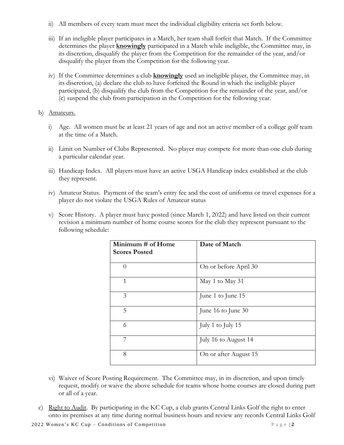- ii) All members of every team must meet the individual eligibility criteria set forth below.
- iii) If an ineligible player participates in a Match, her team shall forfeit that Match. If the Committee determines the player **knowingly** participated in a Match while ineligible, the Committee may, in its discretion, disqualify the player from the Competition for the remainder of the year, and/or disqualify the player from the Competition for the following year.
- iv) If the Committee determines a club **knowingly** used an ineligible player, the Committee may, in its discretion, (a) declare the club to have forfeited the Round in which the ineligible player participated, (b) disqualify the club from the Competition for the remainder of the year, and/or (c) suspend the club from participation in the Competition for the following year.
- b) Amateurs.
	- i) Age. All women must be at least 21 years of age and not an active member of a college golf team at the time of a Match.
	- ii) Limit on Number of Clubs Represented. No player may compete for more than one club during a particular calendar year.
	- iii) Handicap Index. All players must have an active USGA Handicap index established at the club they represent.
	- iv) Amateur Status. Payment of the team's entry fee and the cost of uniforms or travel expenses for a player do not violate the USGA Rules of Amateur status
	- v) Score History. A player must have posted (since March 1, 2022) and have listed on their current revision a minimum number of home course scores for the club they represent pursuant to the following schedule:

| Minimum # of Home<br><b>Scores Posted</b> | Date of Match         |
|-------------------------------------------|-----------------------|
| $\Omega$                                  | On or before April 30 |
| $\mathbf{1}$                              | May 1 to May 31       |
| 3                                         | June 1 to June 15     |
| 5                                         | June 16 to June 30    |
| 6                                         | July 1 to July 15     |
| 7                                         | July 16 to August 14  |
| 8                                         | On or after August 15 |

- vi) Waiver of Score Posting Requirement. The Committee may, in its discretion, and upon timely request, modify or waive the above schedule for teams whose home courses are closed during part or all of a year.
- c) Right to Audit. By participating in the KC Cup, a club grants Central Links Golf the right to enter onto its premises at any time during normal business hours and review any records Central Links Golf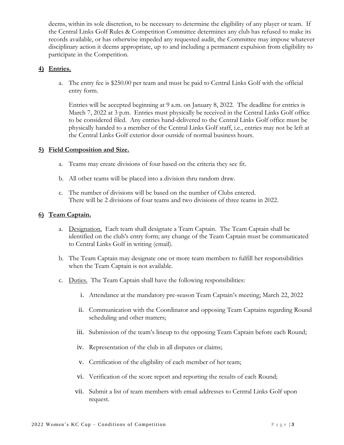deems, within its sole discretion, to be necessary to determine the eligibility of any player or team. If the Central Links Golf Rules & Competition Committee determines any club has refused to make its records available, or has otherwise impeded any requested audit, the Committee may impose whatever disciplinary action it deems appropriate, up to and including a permanent expulsion from eligibility to participate in the Competition.

#### **4) Entries.**

a. The entry fee is \$250.00 per team and must be paid to Central Links Golf with the official entry form.

Entries will be accepted beginning at 9 a.m. on January 8, 2022. The deadline for entries is March 7, 2022 at 3 p.m. Entries must physically be received in the Central Links Golf office to be considered filed. Any entries hand-delivered to the Central Links Golf office must be physically handed to a member of the Central Links Golf staff, i.e., entries may not be left at the Central Links Golf exterior door outside of normal business hours.

#### **5) Field Composition and Size.**

- a. Teams may create divisions of four based on the criteria they see fit.
- b. All other teams will be placed into a division thru random draw.
- c. The number of divisions will be based on the number of Clubs entered. There will be 2 divisions of four teams and two divisions of three teams in 2022.

## **6) Team Captain.**

- a. Designation. Each team shall designate a Team Captain. The Team Captain shall be identified on the club's entry form; any change of the Team Captain must be communicated to Central Links Golf in writing (email).
- b. The Team Captain may designate one or more team members to fulfill her responsibilities when the Team Captain is not available.
- c. Duties. The Team Captain shall have the following responsibilities:
	- i. Attendance at the mandatory pre-season Team Captain's meeting; March 22, 2022
	- ii. Communication with the Coordinator and opposing Team Captains regarding Round scheduling and other matters;
	- iii. Submission of the team's lineup to the opposing Team Captain before each Round;
	- iv. Representation of the club in all disputes or claims;
	- v. Certification of the eligibility of each member of her team;
	- vi. Verification of the score report and reporting the results of each Round;
	- vii. Submit a list of team members with email addresses to Central Links Golf upon request.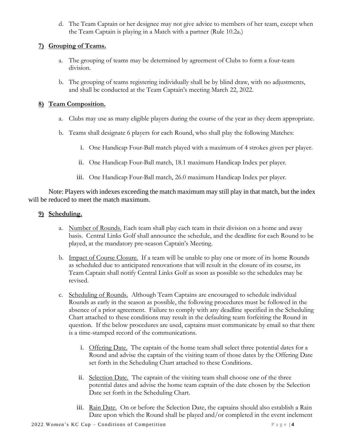d. The Team Captain or her designee may not give advice to members of her team, except when the Team Captain is playing in a Match with a partner (Rule 10.2a.)

# **7) Grouping of Teams.**

- a. The grouping of teams may be determined by agreement of Clubs to form a four-team division.
- b. The grouping of teams registering individually shall be by blind draw, with no adjustments, and shall be conducted at the Team Captain's meeting March 22, 2022.

# **8) Team Composition.**

- a. Clubs may use as many eligible players during the course of the year as they deem appropriate.
- b. Teams shall designate 6 players for each Round, who shall play the following Matches:
	- i. One Handicap Four-Ball match played with a maximum of 4 strokes given per player.
	- ii. One Handicap Four-Ball match, 18.1 maximum Handicap Index per player.
	- iii. One Handicap Four-Ball match, 26.0 maximum Handicap Index per player.

Note: Players with indexes exceeding the match maximum may still play in that match, but the index will be reduced to meet the match maximum.

# **9) Scheduling.**

- a. Number of Rounds. Each team shall play each team in their division on a home and away basis. Central Links Golf shall announce the schedule, and the deadline for each Round to be played, at the mandatory pre-season Captain's Meeting.
- b. Impact of Course Closure. If a team will be unable to play one or more of its home Rounds as scheduled due to anticipated renovations that will result in the closure of its course, its Team Captain shall notify Central Links Golf as soon as possible so the schedules may be revised.
- c. Scheduling of Rounds. Although Team Captains are encouraged to schedule individual Rounds as early in the season as possible, the following procedures must be followed in the absence of a prior agreement. Failure to comply with any deadline specified in the Scheduling Chart attached to these conditions may result in the defaulting team forfeiting the Round in question. If the below procedures are used, captains must communicate by email so that there is a time-stamped record of the communications.
	- i. Offering Date. The captain of the home team shall select three potential dates for a Round and advise the captain of the visiting team of those dates by the Offering Date set forth in the Scheduling Chart attached to these Conditions.
	- ii. Selection Date. The captain of the visiting team shall choose one of the three potential dates and advise the home team captain of the date chosen by the Selection Date set forth in the Scheduling Chart.
	- iii. Rain Date. On or before the Selection Date, the captains should also establish a Rain Date upon which the Round shall be played and/or completed in the event inclement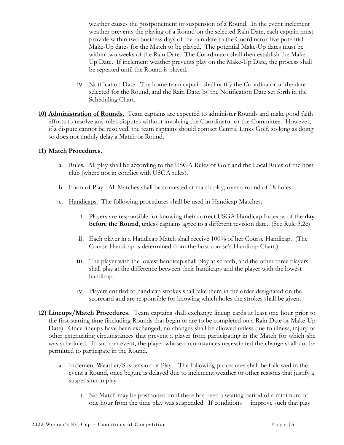weather causes the postponement or suspension of a Round. In the event inclement weather prevents the playing of a Round on the selected Rain Date, each captain must provide within two business days of the rain date to the Coordinator five potential Make-Up dates for the Match to be played. The potential Make-Up dates must be within two weeks of the Rain Date. The Coordinator shall then establish the Make-Up Date. If inclement weather prevents play on the Make-Up Date, the process shall be repeated until the Round is played.

- iv. Notification Date. The home team captain shall notify the Coordinator of the date selected for the Round, and the Rain Date, by the Notification Date set forth in the Scheduling Chart.
- **10) Administration of Rounds.** Team captains are expected to administer Rounds and make good faith efforts to resolve any rules disputes without involving the Coordinator or the Committee. However, if a dispute cannot be resolved, the team captains should contact Central Links Golf, so long as doing so does not unduly delay a Match or Round.

#### **11) Match Procedures.**

- a. Rules. All play shall be according to the USGA Rules of Golf and the Local Rules of the host club (where not in conflict with USGA rules).
- b. Form of Play. All Matches shall be contested at match play, over a round of 18 holes.
- c. Handicaps. The following procedures shall be used in Handicap Matches.
	- i. Players are responsible for knowing their correct USGA Handicap Index as of the **day before the Round**, unless captains agree to a different revision date. (See Rule 3.2c)
	- ii. Each player in a Handicap Match shall receive 100% of her Course Handicap. (The Course Handicap is determined from the host course's Handicap Chart.)
	- iii. The player with the lowest handicap shall play at scratch, and the other three players shall play at the difference between their handicaps and the player with the lowest handicap.
	- iv. Players entitled to handicap strokes shall take them in the order designated on the scorecard and are responsible for knowing which holes the strokes shall be given.
- **12) Lineups/Match Procedures.** Team captains shall exchange lineup cards at least one hour prior to the first starting time (including Rounds that begin or are to be completed on a Rain Date or Make-Up Date). Once lineups have been exchanged, no changes shall be allowed unless due to illness, injury or other extenuating circumstances that prevent a player from participating in the Match for which she was scheduled. In such an event, the player whose circumstances necessitated the change shall not be permitted to participate in the Round.
	- a. Inclement Weather/Suspension of Play. The following procedures shall be followed in the event a Round, once begun, is delayed due to inclement weather or other reasons that justify a suspension in play:
		- i. No Match may be postponed until there has been a waiting period of a minimum of one hour from the time play was suspended. If conditions improve such that play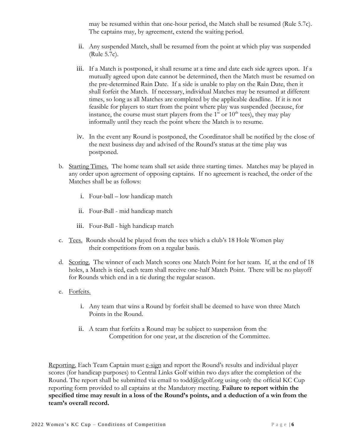may be resumed within that one-hour period, the Match shall be resumed (Rule 5.7c). The captains may, by agreement, extend the waiting period.

- ii. Any suspended Match, shall be resumed from the point at which play was suspended (Rule 5.7c).
- iii. If a Match is postponed, it shall resume at a time and date each side agrees upon. If a mutually agreed upon date cannot be determined, then the Match must be resumed on the pre-determined Rain Date. If a side is unable to play on the Rain Date, then it shall forfeit the Match. If necessary, individual Matches may be resumed at different times, so long as all Matches are completed by the applicable deadline. If it is not feasible for players to start from the point where play was suspended (because, for instance, the course must start players from the  $1<sup>st</sup>$  or  $10<sup>th</sup>$  tees), they may play informally until they reach the point where the Match is to resume.
- iv. In the event any Round is postponed, the Coordinator shall be notified by the close of the next business day and advised of the Round's status at the time play was postponed.
- b. Starting Times. The home team shall set aside three starting times. Matches may be played in any order upon agreement of opposing captains. If no agreement is reached, the order of the Matches shall be as follows:
	- i. Four-ball low handicap match
	- ii. Four-Ball mid handicap match
	- iii. Four-Ball high handicap match
- c. Tees. Rounds should be played from the tees which a club's 18 Hole Women play their competitions from on a regular basis.
- d. Scoring. The winner of each Match scores one Match Point for her team. If, at the end of 18 holes, a Match is tied, each team shall receive one-half Match Point. There will be no playoff for Rounds which end in a tie during the regular season.
- e. Forfeits.
	- i. Any team that wins a Round by forfeit shall be deemed to have won three Match Points in the Round.
	- ii. A team that forfeits a Round may be subject to suspension from the Competition for one year, at the discretion of the Committee.

Reporting. Each Team Captain must e-sign and report the Round's results and individual player scores (for handicap purposes) to Central Links Golf within two days after the completion of the Round. The report shall be submitted via email to todd $@c$ lgolf.org using only the official KC Cup reporting form provided to all captains at the Mandatory meeting. **Failure to report within the specified time may result in a loss of the Round's points, and a deduction of a win from the team's overall record.**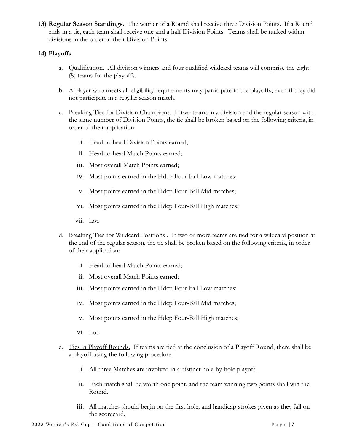**13) Regular Season Standings.** The winner of a Round shall receive three Division Points. If a Round ends in a tie, each team shall receive one and a half Division Points. Teams shall be ranked within divisions in the order of their Division Points.

## **14) Playoffs.**

- a. Qualification. All division winners and four qualified wildcard teams will comprise the eight (8) teams for the playoffs.
- b. A player who meets all eligibility requirements may participate in the playoffs, even if they did not participate in a regular season match.
- c. Breaking Ties for Division Champions. If two teams in a division end the regular season with the same number of Division Points, the tie shall be broken based on the following criteria, in order of their application:
	- i. Head-to-head Division Points earned;
	- ii. Head-to-head Match Points earned;
	- iii. Most overall Match Points earned;
	- iv. Most points earned in the Hdcp Four-ball Low matches;
	- v. Most points earned in the Hdcp Four-Ball Mid matches;
	- vi. Most points earned in the Hdcp Four-Ball High matches;
	- vii. Lot.
- d. Breaking Ties for Wildcard Positions . If two or more teams are tied for a wildcard position at the end of the regular season, the tie shall be broken based on the following criteria, in order of their application:
	- i. Head-to-head Match Points earned;
	- ii. Most overall Match Points earned;
	- iii. Most points earned in the Hdcp Four-ball Low matches;
	- iv. Most points earned in the Hdcp Four-Ball Mid matches;
	- v. Most points earned in the Hdcp Four-Ball High matches;
	- vi. Lot.
- e. Ties in Playoff Rounds. If teams are tied at the conclusion of a Playoff Round, there shall be a playoff using the following procedure:
	- i. All three Matches are involved in a distinct hole-by-hole playoff.
	- ii. Each match shall be worth one point, and the team winning two points shall win the Round.
	- iii. All matches should begin on the first hole, and handicap strokes given as they fall on the scorecard.